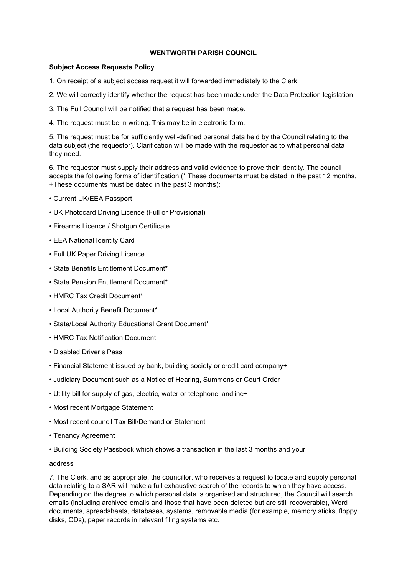## WENTWORTH PARISH COUNCIL

## Subject Access Requests Policy

- 1. On receipt of a subject access request it will forwarded immediately to the Clerk
- 2. We will correctly identify whether the request has been made under the Data Protection legislation
- 3. The Full Council will be notified that a request has been made.
- 4. The request must be in writing. This may be in electronic form.

5. The request must be for sufficiently well-defined personal data held by the Council relating to the data subject (the requestor). Clarification will be made with the requestor as to what personal data they need.

6. The requestor must supply their address and valid evidence to prove their identity. The council accepts the following forms of identification (\* These documents must be dated in the past 12 months, +These documents must be dated in the past 3 months):

- Current UK/EEA Passport
- UK Photocard Driving Licence (Full or Provisional)
- Firearms Licence / Shotgun Certificate
- EEA National Identity Card
- Full UK Paper Driving Licence
- State Benefits Entitlement Document\*
- State Pension Entitlement Document\*
- HMRC Tax Credit Document\*
- Local Authority Benefit Document\*
- State/Local Authority Educational Grant Document\*
- HMRC Tax Notification Document
- Disabled Driver's Pass
- Financial Statement issued by bank, building society or credit card company+
- Judiciary Document such as a Notice of Hearing, Summons or Court Order
- Utility bill for supply of gas, electric, water or telephone landline+
- Most recent Mortgage Statement
- Most recent council Tax Bill/Demand or Statement
- Tenancy Agreement
- Building Society Passbook which shows a transaction in the last 3 months and your

## address

7. The Clerk, and as appropriate, the councillor, who receives a request to locate and supply personal data relating to a SAR will make a full exhaustive search of the records to which they have access. Depending on the degree to which personal data is organised and structured, the Council will search emails (including archived emails and those that have been deleted but are still recoverable), Word documents, spreadsheets, databases, systems, removable media (for example, memory sticks, floppy disks, CDs), paper records in relevant filing systems etc.